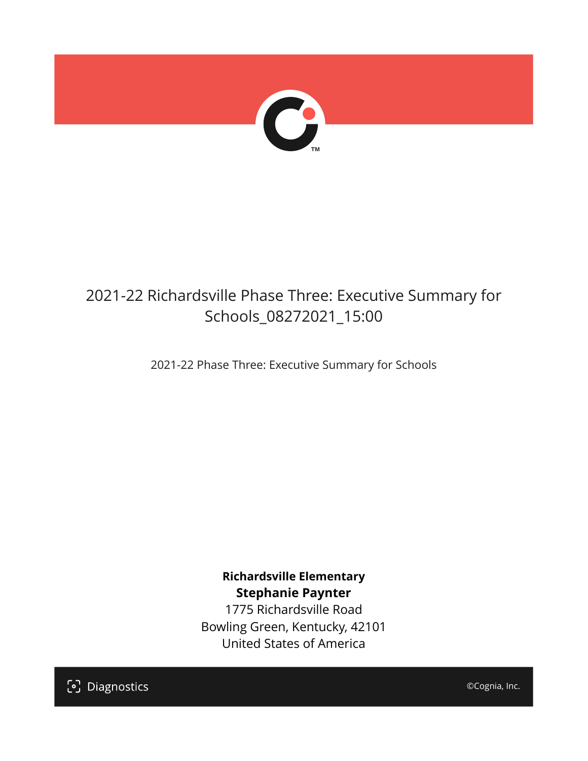

## 2021-22 Richardsville Phase Three: Executive Summary for Schools\_08272021\_15:00

2021-22 Phase Three: Executive Summary for Schools

**Richardsville Elementary Stephanie Paynter**

1775 Richardsville Road Bowling Green, Kentucky, 42101 United States of America

[၁] Diagnostics

©Cognia, Inc.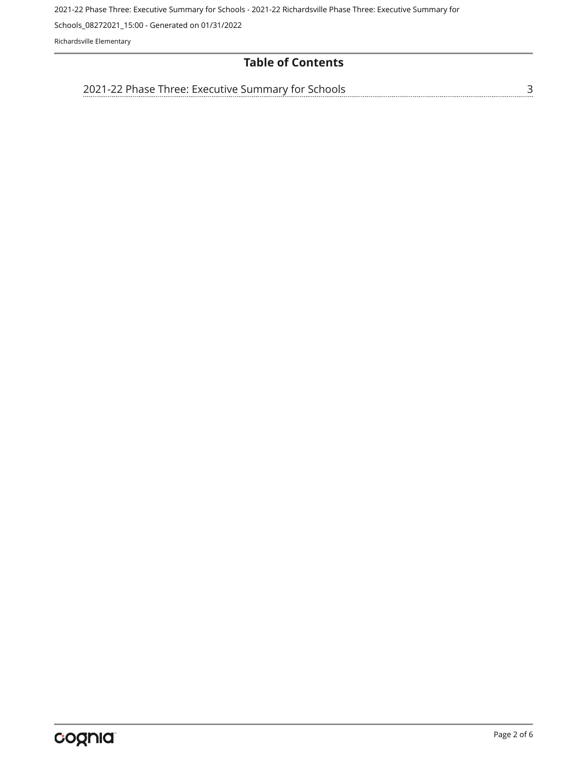2021-22 Phase Three: Executive Summary for Schools - 2021-22 Richardsville Phase Three: Executive Summary for

Schools\_08272021\_15:00 - Generated on 01/31/2022

Richardsville Elementary

#### **Table of Contents**

[3](#page-2-0) [2021-22 Phase Three: Executive Summary for Schools](#page-2-0)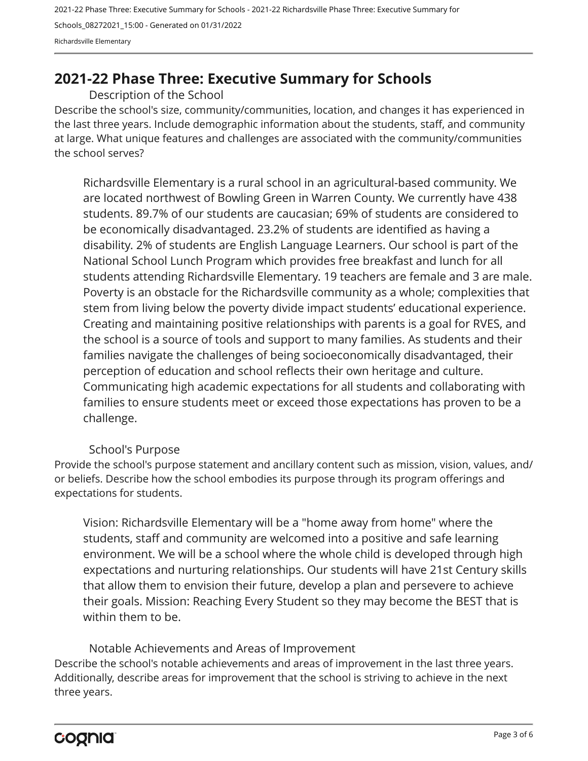2021-22 Phase Three: Executive Summary for Schools - 2021-22 Richardsville Phase Three: Executive Summary for Schools\_08272021\_15:00 - Generated on 01/31/2022 Richardsville Elementary

### <span id="page-2-0"></span>**2021-22 Phase Three: Executive Summary for Schools**

Description of the School

Describe the school's size, community/communities, location, and changes it has experienced in the last three years. Include demographic information about the students, staff, and community at large. What unique features and challenges are associated with the community/communities the school serves?

Richardsville Elementary is a rural school in an agricultural-based community. We are located northwest of Bowling Green in Warren County. We currently have 438 students. 89.7% of our students are caucasian; 69% of students are considered to be economically disadvantaged. 23.2% of students are identified as having a disability. 2% of students are English Language Learners. Our school is part of the National School Lunch Program which provides free breakfast and lunch for all students attending Richardsville Elementary. 19 teachers are female and 3 are male. Poverty is an obstacle for the Richardsville community as a whole; complexities that stem from living below the poverty divide impact students' educational experience. Creating and maintaining positive relationships with parents is a goal for RVES, and the school is a source of tools and support to many families. As students and their families navigate the challenges of being socioeconomically disadvantaged, their perception of education and school reflects their own heritage and culture. Communicating high academic expectations for all students and collaborating with families to ensure students meet or exceed those expectations has proven to be a challenge.

#### School's Purpose

Provide the school's purpose statement and ancillary content such as mission, vision, values, and/ or beliefs. Describe how the school embodies its purpose through its program offerings and expectations for students.

Vision: Richardsville Elementary will be a "home away from home" where the students, staff and community are welcomed into a positive and safe learning environment. We will be a school where the whole child is developed through high expectations and nurturing relationships. Our students will have 21st Century skills that allow them to envision their future, develop a plan and persevere to achieve their goals. Mission: Reaching Every Student so they may become the BEST that is within them to be.

Describe the school's notable achievements and areas of improvement in the last three years. Additionally, describe areas for improvement that the school is striving to achieve in the next three years. Notable Achievements and Areas of Improvement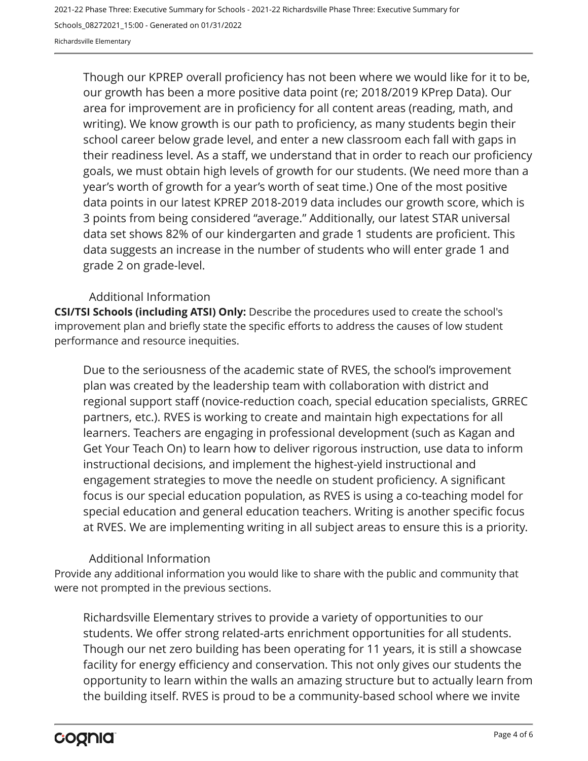2021-22 Phase Three: Executive Summary for Schools - 2021-22 Richardsville Phase Three: Executive Summary for Schools\_08272021\_15:00 - Generated on 01/31/2022 Richardsville Elementary

Though our KPREP overall proficiency has not been where we would like for it to be, our growth has been a more positive data point (re; 2018/2019 KPrep Data). Our area for improvement are in proficiency for all content areas (reading, math, and writing). We know growth is our path to proficiency, as many students begin their school career below grade level, and enter a new classroom each fall with gaps in their readiness level. As a staff, we understand that in order to reach our proficiency goals, we must obtain high levels of growth for our students. (We need more than a year's worth of growth for a year's worth of seat time.) One of the most positive data points in our latest KPREP 2018-2019 data includes our growth score, which is 3 points from being considered "average." Additionally, our latest STAR universal data set shows 82% of our kindergarten and grade 1 students are proficient. This data suggests an increase in the number of students who will enter grade 1 and grade 2 on grade-level.

#### Additional Information

**CSI/TSI Schools (including ATSI) Only:** Describe the procedures used to create the school's improvement plan and briefly state the specific efforts to address the causes of low student performance and resource inequities.

Due to the seriousness of the academic state of RVES, the school's improvement plan was created by the leadership team with collaboration with district and regional support staff (novice-reduction coach, special education specialists, GRREC partners, etc.). RVES is working to create and maintain high expectations for all learners. Teachers are engaging in professional development (such as Kagan and Get Your Teach On) to learn how to deliver rigorous instruction, use data to inform instructional decisions, and implement the highest-yield instructional and engagement strategies to move the needle on student proficiency. A significant focus is our special education population, as RVES is using a co-teaching model for special education and general education teachers. Writing is another specific focus at RVES. We are implementing writing in all subject areas to ensure this is a priority.

#### Additional Information

Provide any additional information you would like to share with the public and community that were not prompted in the previous sections.

Richardsville Elementary strives to provide a variety of opportunities to our students. We offer strong related-arts enrichment opportunities for all students. Though our net zero building has been operating for 11 years, it is still a showcase facility for energy efficiency and conservation. This not only gives our students the opportunity to learn within the walls an amazing structure but to actually learn from the building itself. RVES is proud to be a community-based school where we invite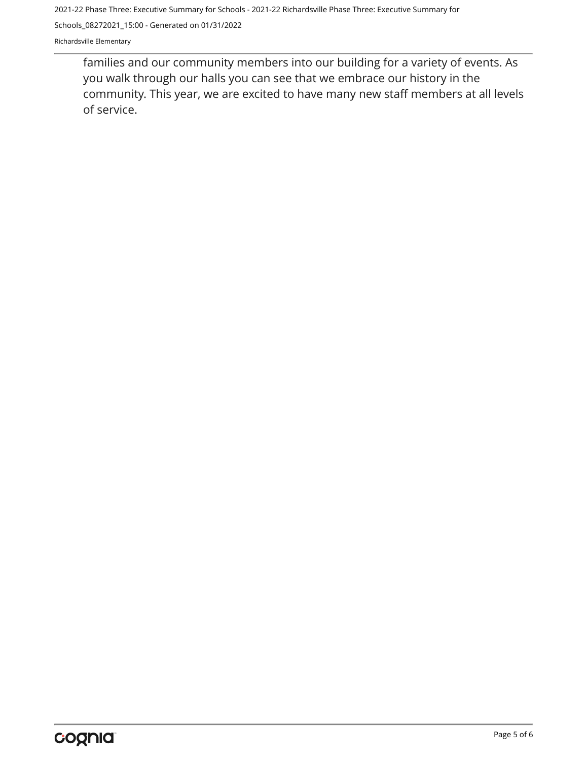2021-22 Phase Three: Executive Summary for Schools - 2021-22 Richardsville Phase Three: Executive Summary for

Schools\_08272021\_15:00 - Generated on 01/31/2022

Richardsville Elementary

families and our community members into our building for a variety of events. As you walk through our halls you can see that we embrace our history in the community. This year, we are excited to have many new staff members at all levels of service.